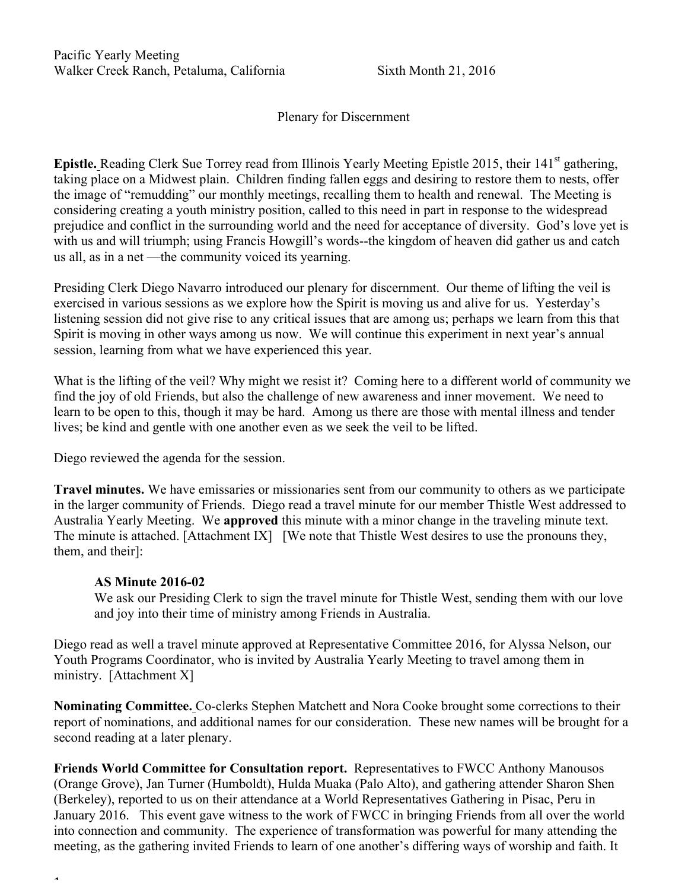Plenary for Discernment

**Epistle.** Reading Clerk Sue Torrey read from Illinois Yearly Meeting Epistle 2015, their 141<sup>st</sup> gathering, taking place on a Midwest plain. Children finding fallen eggs and desiring to restore them to nests, offer the image of "remudding" our monthly meetings, recalling them to health and renewal. The Meeting is considering creating a youth ministry position, called to this need in part in response to the widespread prejudice and conflict in the surrounding world and the need for acceptance of diversity. God's love yet is with us and will triumph; using Francis Howgill's words--the kingdom of heaven did gather us and catch us all, as in a net —the community voiced its yearning.

Presiding Clerk Diego Navarro introduced our plenary for discernment. Our theme of lifting the veil is exercised in various sessions as we explore how the Spirit is moving us and alive for us. Yesterday's listening session did not give rise to any critical issues that are among us; perhaps we learn from this that Spirit is moving in other ways among us now. We will continue this experiment in next year's annual session, learning from what we have experienced this year.

What is the lifting of the veil? Why might we resist it? Coming here to a different world of community we find the joy of old Friends, but also the challenge of new awareness and inner movement. We need to learn to be open to this, though it may be hard. Among us there are those with mental illness and tender lives; be kind and gentle with one another even as we seek the veil to be lifted.

Diego reviewed the agenda for the session.

**Travel minutes.** We have emissaries or missionaries sent from our community to others as we participate in the larger community of Friends. Diego read a travel minute for our member Thistle West addressed to Australia Yearly Meeting. We **approved** this minute with a minor change in the traveling minute text. The minute is attached. [Attachment IX] [We note that Thistle West desires to use the pronouns they, them, and their]:

### **AS Minute 2016-02**

 $\ddot{\phantom{1}}$ 

We ask our Presiding Clerk to sign the travel minute for Thistle West, sending them with our love and joy into their time of ministry among Friends in Australia.

Diego read as well a travel minute approved at Representative Committee 2016, for Alyssa Nelson, our Youth Programs Coordinator, who is invited by Australia Yearly Meeting to travel among them in ministry. [Attachment X]

**Nominating Committee.** Co-clerks Stephen Matchett and Nora Cooke brought some corrections to their report of nominations, and additional names for our consideration. These new names will be brought for a second reading at a later plenary.

**Friends World Committee for Consultation report.** Representatives to FWCC Anthony Manousos (Orange Grove), Jan Turner (Humboldt), Hulda Muaka (Palo Alto), and gathering attender Sharon Shen (Berkeley), reported to us on their attendance at a World Representatives Gathering in Pisac, Peru in January 2016. This event gave witness to the work of FWCC in bringing Friends from all over the world into connection and community. The experience of transformation was powerful for many attending the meeting, as the gathering invited Friends to learn of one another's differing ways of worship and faith. It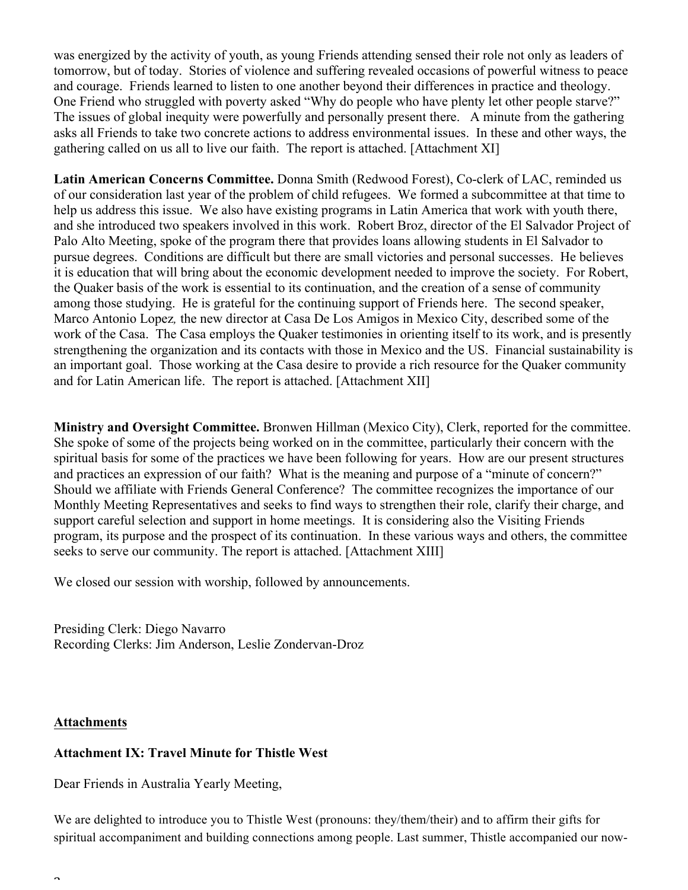was energized by the activity of youth, as young Friends attending sensed their role not only as leaders of tomorrow, but of today. Stories of violence and suffering revealed occasions of powerful witness to peace and courage. Friends learned to listen to one another beyond their differences in practice and theology. One Friend who struggled with poverty asked "Why do people who have plenty let other people starve?" The issues of global inequity were powerfully and personally present there. A minute from the gathering asks all Friends to take two concrete actions to address environmental issues. In these and other ways, the gathering called on us all to live our faith. The report is attached. [Attachment XI]

**Latin American Concerns Committee.** Donna Smith (Redwood Forest), Co-clerk of LAC, reminded us of our consideration last year of the problem of child refugees. We formed a subcommittee at that time to help us address this issue. We also have existing programs in Latin America that work with youth there, and she introduced two speakers involved in this work. Robert Broz, director of the El Salvador Project of Palo Alto Meeting, spoke of the program there that provides loans allowing students in El Salvador to pursue degrees. Conditions are difficult but there are small victories and personal successes. He believes it is education that will bring about the economic development needed to improve the society. For Robert, the Quaker basis of the work is essential to its continuation, and the creation of a sense of community among those studying. He is grateful for the continuing support of Friends here. The second speaker, Marco Antonio Lopez*,* the new director at Casa De Los Amigos in Mexico City, described some of the work of the Casa. The Casa employs the Quaker testimonies in orienting itself to its work, and is presently strengthening the organization and its contacts with those in Mexico and the US. Financial sustainability is an important goal. Those working at the Casa desire to provide a rich resource for the Quaker community and for Latin American life. The report is attached. [Attachment XII]

**Ministry and Oversight Committee.** Bronwen Hillman (Mexico City), Clerk, reported for the committee. She spoke of some of the projects being worked on in the committee, particularly their concern with the spiritual basis for some of the practices we have been following for years. How are our present structures and practices an expression of our faith? What is the meaning and purpose of a "minute of concern?" Should we affiliate with Friends General Conference? The committee recognizes the importance of our Monthly Meeting Representatives and seeks to find ways to strengthen their role, clarify their charge, and support careful selection and support in home meetings. It is considering also the Visiting Friends program, its purpose and the prospect of its continuation. In these various ways and others, the committee seeks to serve our community. The report is attached. [Attachment XIII]

We closed our session with worship, followed by announcements.

Presiding Clerk: Diego Navarro Recording Clerks: Jim Anderson, Leslie Zondervan-Droz

### **Attachments**

 $\overline{ }$ 

### **Attachment IX: Travel Minute for Thistle West**

Dear Friends in Australia Yearly Meeting,

We are delighted to introduce you to Thistle West (pronouns: they/them/their) and to affirm their gifts for spiritual accompaniment and building connections among people. Last summer, Thistle accompanied our now-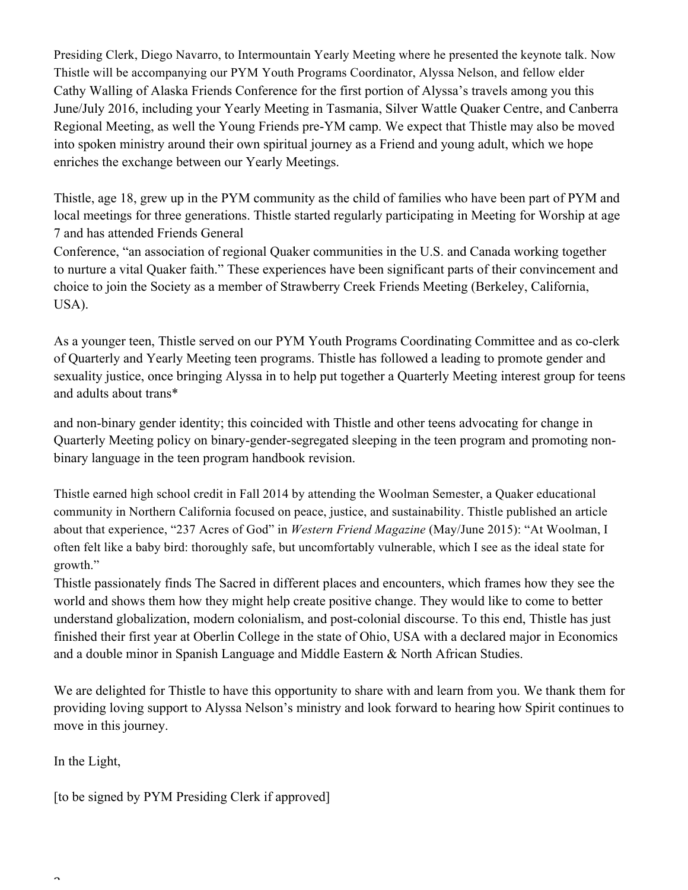Presiding Clerk, Diego Navarro, to Intermountain Yearly Meeting where he presented the keynote talk. Now Thistle will be accompanying our PYM Youth Programs Coordinator, Alyssa Nelson, and fellow elder Cathy Walling of Alaska Friends Conference for the first portion of Alyssa's travels among you this June/July 2016, including your Yearly Meeting in Tasmania, Silver Wattle Quaker Centre, and Canberra Regional Meeting, as well the Young Friends pre-YM camp. We expect that Thistle may also be moved into spoken ministry around their own spiritual journey as a Friend and young adult, which we hope enriches the exchange between our Yearly Meetings.

Thistle, age 18, grew up in the PYM community as the child of families who have been part of PYM and local meetings for three generations. Thistle started regularly participating in Meeting for Worship at age 7 and has attended Friends General

Conference, "an association of regional Quaker communities in the U.S. and Canada working together to nurture a vital Quaker faith." These experiences have been significant parts of their convincement and choice to join the Society as a member of Strawberry Creek Friends Meeting (Berkeley, California, USA).

As a younger teen, Thistle served on our PYM Youth Programs Coordinating Committee and as co-clerk of Quarterly and Yearly Meeting teen programs. Thistle has followed a leading to promote gender and sexuality justice, once bringing Alyssa in to help put together a Quarterly Meeting interest group for teens and adults about trans\*

and non-binary gender identity; this coincided with Thistle and other teens advocating for change in Quarterly Meeting policy on binary-gender-segregated sleeping in the teen program and promoting nonbinary language in the teen program handbook revision.

Thistle earned high school credit in Fall 2014 by attending the Woolman Semester, a Quaker educational community in Northern California focused on peace, justice, and sustainability. Thistle published an article about that experience, "237 Acres of God" in *Western Friend Magazine* (May/June 2015): "At Woolman, I often felt like a baby bird: thoroughly safe, but uncomfortably vulnerable, which I see as the ideal state for growth."

Thistle passionately finds The Sacred in different places and encounters, which frames how they see the world and shows them how they might help create positive change. They would like to come to better understand globalization, modern colonialism, and post-colonial discourse. To this end, Thistle has just finished their first year at Oberlin College in the state of Ohio, USA with a declared major in Economics and a double minor in Spanish Language and Middle Eastern & North African Studies.

We are delighted for Thistle to have this opportunity to share with and learn from you. We thank them for providing loving support to Alyssa Nelson's ministry and look forward to hearing how Spirit continues to move in this journey.

In the Light,

 $\overline{2}$ 

[to be signed by PYM Presiding Clerk if approved]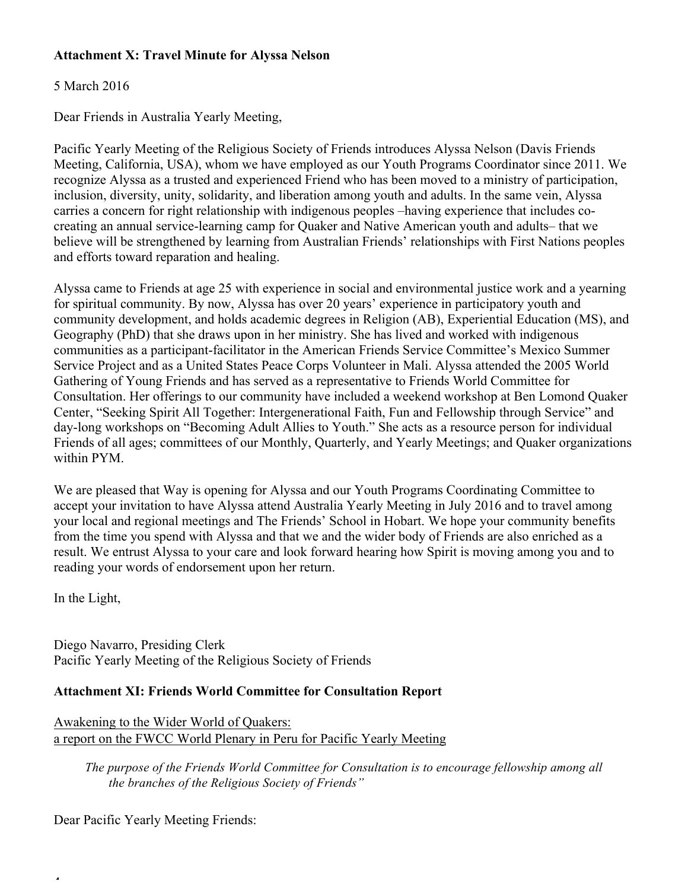# **Attachment X: Travel Minute for Alyssa Nelson**

# 5 March 2016

Dear Friends in Australia Yearly Meeting,

Pacific Yearly Meeting of the Religious Society of Friends introduces Alyssa Nelson (Davis Friends Meeting, California, USA), whom we have employed as our Youth Programs Coordinator since 2011. We recognize Alyssa as a trusted and experienced Friend who has been moved to a ministry of participation, inclusion, diversity, unity, solidarity, and liberation among youth and adults. In the same vein, Alyssa carries a concern for right relationship with indigenous peoples –having experience that includes cocreating an annual service-learning camp for Quaker and Native American youth and adults– that we believe will be strengthened by learning from Australian Friends' relationships with First Nations peoples and efforts toward reparation and healing.

Alyssa came to Friends at age 25 with experience in social and environmental justice work and a yearning for spiritual community. By now, Alyssa has over 20 years' experience in participatory youth and community development, and holds academic degrees in Religion (AB), Experiential Education (MS), and Geography (PhD) that she draws upon in her ministry. She has lived and worked with indigenous communities as a participant-facilitator in the American Friends Service Committee's Mexico Summer Service Project and as a United States Peace Corps Volunteer in Mali. Alyssa attended the 2005 World Gathering of Young Friends and has served as a representative to Friends World Committee for Consultation. Her offerings to our community have included a weekend workshop at Ben Lomond Quaker Center, "Seeking Spirit All Together: Intergenerational Faith, Fun and Fellowship through Service" and day-long workshops on "Becoming Adult Allies to Youth." She acts as a resource person for individual Friends of all ages; committees of our Monthly, Quarterly, and Yearly Meetings; and Quaker organizations within PYM.

We are pleased that Way is opening for Alyssa and our Youth Programs Coordinating Committee to accept your invitation to have Alyssa attend Australia Yearly Meeting in July 2016 and to travel among your local and regional meetings and The Friends' School in Hobart. We hope your community benefits from the time you spend with Alyssa and that we and the wider body of Friends are also enriched as a result. We entrust Alyssa to your care and look forward hearing how Spirit is moving among you and to reading your words of endorsement upon her return.

In the Light,

 $\overline{\phantom{a}}$ 

Diego Navarro, Presiding Clerk Pacific Yearly Meeting of the Religious Society of Friends

## **Attachment XI: Friends World Committee for Consultation Report**

Awakening to the Wider World of Quakers: a report on the FWCC World Plenary in Peru for Pacific Yearly Meeting

*The purpose of the Friends World Committee for Consultation is to encourage fellowship among all the branches of the Religious Society of Friends"*

Dear Pacific Yearly Meeting Friends: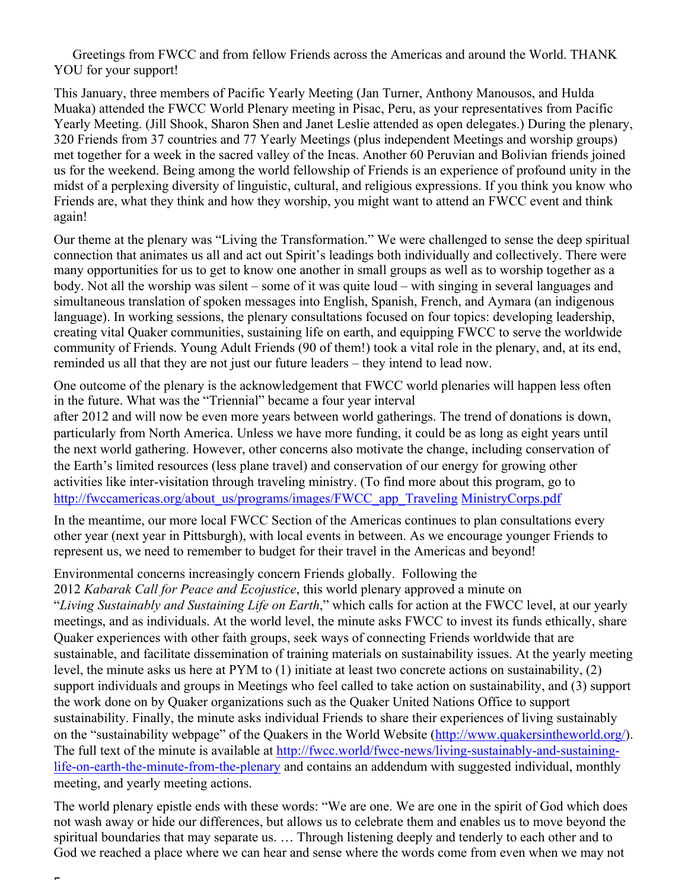Greetings from FWCC and from fellow Friends across the Americas and around the World. THANK YOU for your support!

This January, three members of Pacific Yearly Meeting (Jan Turner, Anthony Manousos, and Hulda Muaka) attended the FWCC World Plenary meeting in Pisac, Peru, as your representatives from Pacific Yearly Meeting. (Jill Shook, Sharon Shen and Janet Leslie attended as open delegates.) During the plenary, 320 Friends from 37 countries and 77 Yearly Meetings (plus independent Meetings and worship groups) met together for a week in the sacred valley of the Incas. Another 60 Peruvian and Bolivian friends joined us for the weekend. Being among the world fellowship of Friends is an experience of profound unity in the midst of a perplexing diversity of linguistic, cultural, and religious expressions. If you think you know who Friends are, what they think and how they worship, you might want to attend an FWCC event and think again!

Our theme at the plenary was "Living the Transformation." We were challenged to sense the deep spiritual connection that animates us all and act out Spirit's leadings both individually and collectively. There were many opportunities for us to get to know one another in small groups as well as to worship together as a body. Not all the worship was silent – some of it was quite loud – with singing in several languages and simultaneous translation of spoken messages into English, Spanish, French, and Aymara (an indigenous language). In working sessions, the plenary consultations focused on four topics: developing leadership, creating vital Quaker communities, sustaining life on earth, and equipping FWCC to serve the worldwide community of Friends. Young Adult Friends (90 of them!) took a vital role in the plenary, and, at its end, reminded us all that they are not just our future leaders – they intend to lead now.

One outcome of the plenary is the acknowledgement that FWCC world plenaries will happen less often in the future. What was the "Triennial" became a four year interval

after 2012 and will now be even more years between world gatherings. The trend of donations is down, particularly from North America. Unless we have more funding, it could be as long as eight years until the next world gathering. However, other concerns also motivate the change, including conservation of the Earth's limited resources (less plane travel) and conservation of our energy for growing other activities like inter-visitation through traveling ministry. (To find more about this program, go to http://fwccamericas.org/about\_us/programs/images/FWCC\_app\_Traveling MinistryCorps.pdf

In the meantime, our more local FWCC Section of the Americas continues to plan consultations every other year (next year in Pittsburgh), with local events in between. As we encourage younger Friends to represent us, we need to remember to budget for their travel in the Americas and beyond!

## Environmental concerns increasingly concern Friends globally. Following the

 $\overline{a}$ 

2012 *Kabarak Call for Peace and Ecojustice*, this world plenary approved a minute on "*Living Sustainably and Sustaining Life on Earth*," which calls for action at the FWCC level, at our yearly meetings, and as individuals. At the world level, the minute asks FWCC to invest its funds ethically, share Quaker experiences with other faith groups, seek ways of connecting Friends worldwide that are sustainable, and facilitate dissemination of training materials on sustainability issues. At the yearly meeting level, the minute asks us here at PYM to (1) initiate at least two concrete actions on sustainability, (2) support individuals and groups in Meetings who feel called to take action on sustainability, and (3) support the work done on by Quaker organizations such as the Quaker United Nations Office to support sustainability. Finally, the minute asks individual Friends to share their experiences of living sustainably on the "sustainability webpage" of the Quakers in the World Website (http://www.quakersintheworld.org/). The full text of the minute is available at http://fwcc.world/fwcc-news/living-sustainably-and-sustaininglife-on-earth-the-minute-from-the-plenary and contains an addendum with suggested individual, monthly meeting, and yearly meeting actions.

The world plenary epistle ends with these words: "We are one. We are one in the spirit of God which does not wash away or hide our differences, but allows us to celebrate them and enables us to move beyond the spiritual boundaries that may separate us. … Through listening deeply and tenderly to each other and to God we reached a place where we can hear and sense where the words come from even when we may not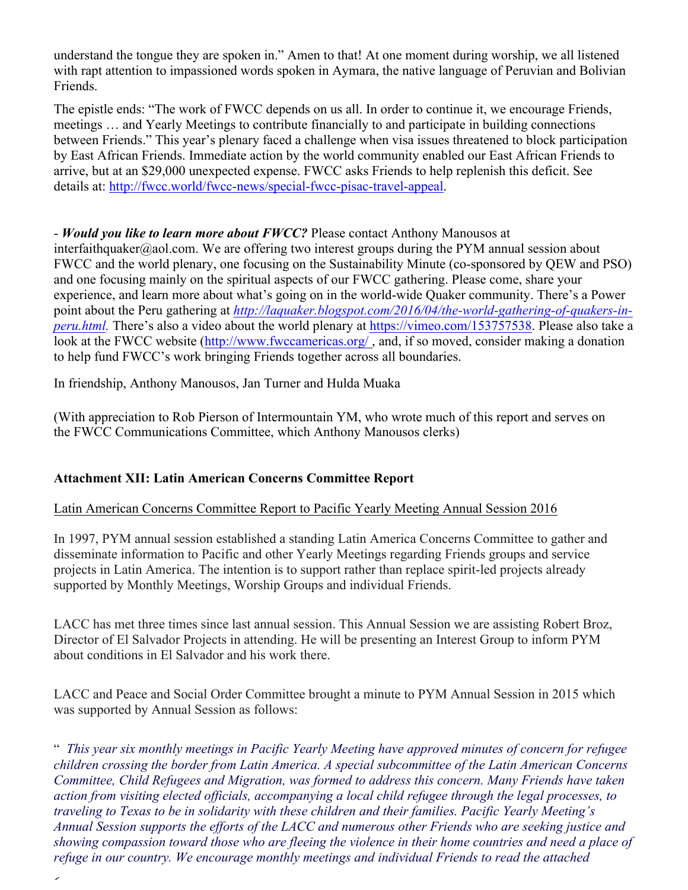understand the tongue they are spoken in." Amen to that! At one moment during worship, we all listened with rapt attention to impassioned words spoken in Aymara, the native language of Peruvian and Bolivian Friends.

The epistle ends: "The work of FWCC depends on us all. In order to continue it, we encourage Friends, meetings … and Yearly Meetings to contribute financially to and participate in building connections between Friends." This year's plenary faced a challenge when visa issues threatened to block participation by East African Friends. Immediate action by the world community enabled our East African Friends to arrive, but at an \$29,000 unexpected expense. FWCC asks Friends to help replenish this deficit. See details at: http://fwcc.world/fwcc-news/special-fwcc-pisac-travel-appeal.

# - *Would you like to learn more about FWCC?* Please contact Anthony Manousos at

interfaithquaker@aol.com. We are offering two interest groups during the PYM annual session about FWCC and the world plenary, one focusing on the Sustainability Minute (co-sponsored by QEW and PSO) and one focusing mainly on the spiritual aspects of our FWCC gathering. Please come, share your experience, and learn more about what's going on in the world-wide Quaker community. There's a Power point about the Peru gathering at *http://laquaker.blogspot.com/2016/04/the-world-gathering-of-quakers-inperu.html.* There's also a video about the world plenary at https://vimeo.com/153757538. Please also take a look at the FWCC website (http://www.fwccamericas.org/, and, if so moved, consider making a donation to help fund FWCC's work bringing Friends together across all boundaries.

In friendship, Anthony Manousos, Jan Turner and Hulda Muaka

(With appreciation to Rob Pierson of Intermountain YM, who wrote much of this report and serves on the FWCC Communications Committee, which Anthony Manousos clerks)

## **Attachment XII: Latin American Concerns Committee Report**

 $\overline{\phantom{a}}$ 

## Latin American Concerns Committee Report to Pacific Yearly Meeting Annual Session 2016

In 1997, PYM annual session established a standing Latin America Concerns Committee to gather and disseminate information to Pacific and other Yearly Meetings regarding Friends groups and service projects in Latin America. The intention is to support rather than replace spirit-led projects already supported by Monthly Meetings, Worship Groups and individual Friends.

LACC has met three times since last annual session. This Annual Session we are assisting Robert Broz, Director of El Salvador Projects in attending. He will be presenting an Interest Group to inform PYM about conditions in El Salvador and his work there.

LACC and Peace and Social Order Committee brought a minute to PYM Annual Session in 2015 which was supported by Annual Session as follows:

" *This year six monthly meetings in Pacific Yearly Meeting have approved minutes of concern for refugee children crossing the border from Latin America. A special subcommittee of the Latin American Concerns Committee, Child Refugees and Migration, was formed to address this concern. Many Friends have taken action from visiting elected officials, accompanying a local child refugee through the legal processes, to traveling to Texas to be in solidarity with these children and their families. Pacific Yearly Meeting's Annual Session supports the efforts of the LACC and numerous other Friends who are seeking justice and showing compassion toward those who are fleeing the violence in their home countries and need a place of refuge in our country. We encourage monthly meetings and individual Friends to read the attached*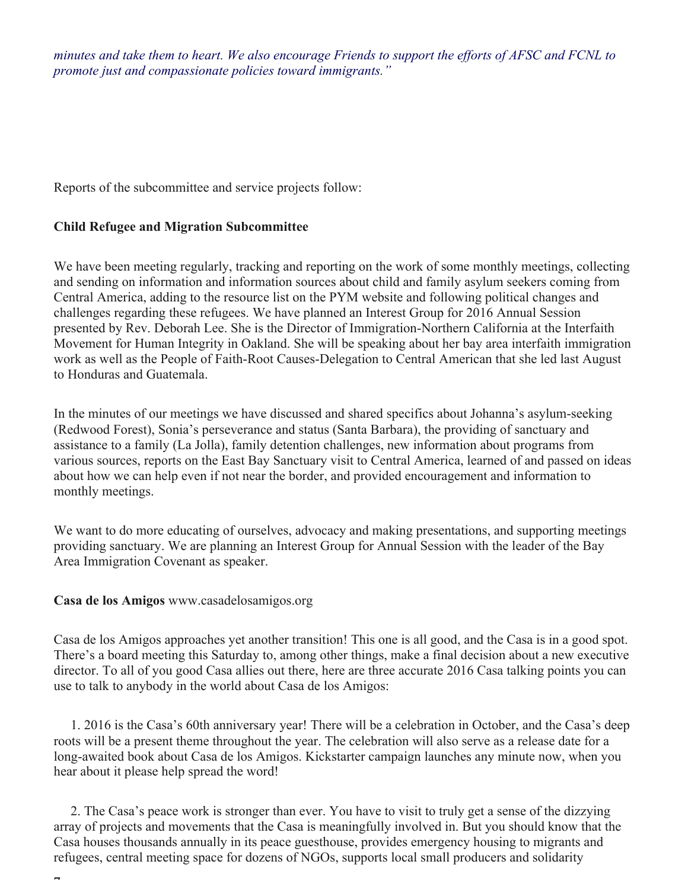*minutes and take them to heart. We also encourage Friends to support the efforts of AFSC and FCNL to promote just and compassionate policies toward immigrants."*

Reports of the subcommittee and service projects follow:

## **Child Refugee and Migration Subcommittee**

We have been meeting regularly, tracking and reporting on the work of some monthly meetings, collecting and sending on information and information sources about child and family asylum seekers coming from Central America, adding to the resource list on the PYM website and following political changes and challenges regarding these refugees. We have planned an Interest Group for 2016 Annual Session presented by Rev. Deborah Lee. She is the Director of Immigration-Northern California at the Interfaith Movement for Human Integrity in Oakland. She will be speaking about her bay area interfaith immigration work as well as the People of Faith-Root Causes-Delegation to Central American that she led last August to Honduras and Guatemala.

In the minutes of our meetings we have discussed and shared specifics about Johanna's asylum-seeking (Redwood Forest), Sonia's perseverance and status (Santa Barbara), the providing of sanctuary and assistance to a family (La Jolla), family detention challenges, new information about programs from various sources, reports on the East Bay Sanctuary visit to Central America, learned of and passed on ideas about how we can help even if not near the border, and provided encouragement and information to monthly meetings.

We want to do more educating of ourselves, advocacy and making presentations, and supporting meetings providing sanctuary. We are planning an Interest Group for Annual Session with the leader of the Bay Area Immigration Covenant as speaker.

### **Casa de los Amigos** www.casadelosamigos.org

 $\overline{a}$ 

Casa de los Amigos approaches yet another transition! This one is all good, and the Casa is in a good spot. There's a board meeting this Saturday to, among other things, make a final decision about a new executive director. To all of you good Casa allies out there, here are three accurate 2016 Casa talking points you can use to talk to anybody in the world about Casa de los Amigos:

1. 2016 is the Casa's 60th anniversary year! There will be a celebration in October, and the Casa's deep roots will be a present theme throughout the year. The celebration will also serve as a release date for a long-awaited book about Casa de los Amigos. Kickstarter campaign launches any minute now, when you hear about it please help spread the word!

2. The Casa's peace work is stronger than ever. You have to visit to truly get a sense of the dizzying array of projects and movements that the Casa is meaningfully involved in. But you should know that the Casa houses thousands annually in its peace guesthouse, provides emergency housing to migrants and refugees, central meeting space for dozens of NGOs, supports local small producers and solidarity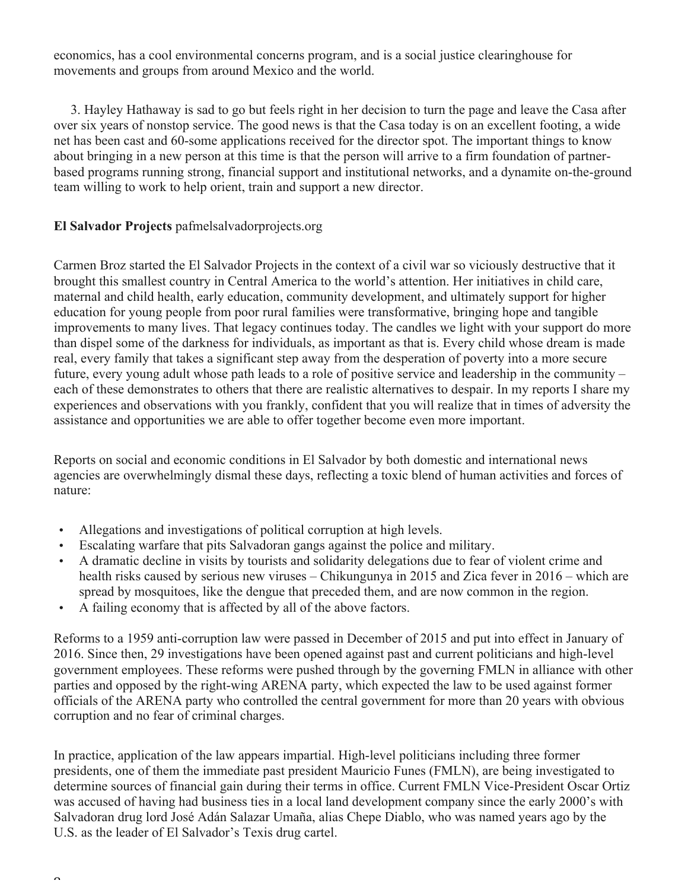economics, has a cool environmental concerns program, and is a social justice clearinghouse for movements and groups from around Mexico and the world.

3. Hayley Hathaway is sad to go but feels right in her decision to turn the page and leave the Casa after over six years of nonstop service. The good news is that the Casa today is on an excellent footing, a wide net has been cast and 60-some applications received for the director spot. The important things to know about bringing in a new person at this time is that the person will arrive to a firm foundation of partnerbased programs running strong, financial support and institutional networks, and a dynamite on-the-ground team willing to work to help orient, train and support a new director.

# **El Salvador Projects** pafmelsalvadorprojects.org

Carmen Broz started the El Salvador Projects in the context of a civil war so viciously destructive that it brought this smallest country in Central America to the world's attention. Her initiatives in child care, maternal and child health, early education, community development, and ultimately support for higher education for young people from poor rural families were transformative, bringing hope and tangible improvements to many lives. That legacy continues today. The candles we light with your support do more than dispel some of the darkness for individuals, as important as that is. Every child whose dream is made real, every family that takes a significant step away from the desperation of poverty into a more secure future, every young adult whose path leads to a role of positive service and leadership in the community – each of these demonstrates to others that there are realistic alternatives to despair. In my reports I share my experiences and observations with you frankly, confident that you will realize that in times of adversity the assistance and opportunities we are able to offer together become even more important.

Reports on social and economic conditions in El Salvador by both domestic and international news agencies are overwhelmingly dismal these days, reflecting a toxic blend of human activities and forces of nature:

- Allegations and investigations of political corruption at high levels.
- Escalating warfare that pits Salvadoran gangs against the police and military.
- A dramatic decline in visits by tourists and solidarity delegations due to fear of violent crime and health risks caused by serious new viruses – Chikungunya in 2015 and Zica fever in 2016 – which are spread by mosquitoes, like the dengue that preceded them, and are now common in the region.
- A failing economy that is affected by all of the above factors.

Reforms to a 1959 anti-corruption law were passed in December of 2015 and put into effect in January of 2016. Since then, 29 investigations have been opened against past and current politicians and high-level government employees. These reforms were pushed through by the governing FMLN in alliance with other parties and opposed by the right-wing ARENA party, which expected the law to be used against former officials of the ARENA party who controlled the central government for more than 20 years with obvious corruption and no fear of criminal charges.

In practice, application of the law appears impartial. High-level politicians including three former presidents, one of them the immediate past president Mauricio Funes (FMLN), are being investigated to determine sources of financial gain during their terms in office. Current FMLN Vice-President Oscar Ortiz was accused of having had business ties in a local land development company since the early 2000's with Salvadoran drug lord José Adán Salazar Umaña, alias Chepe Diablo, who was named years ago by the U.S. as the leader of El Salvador's Texis drug cartel.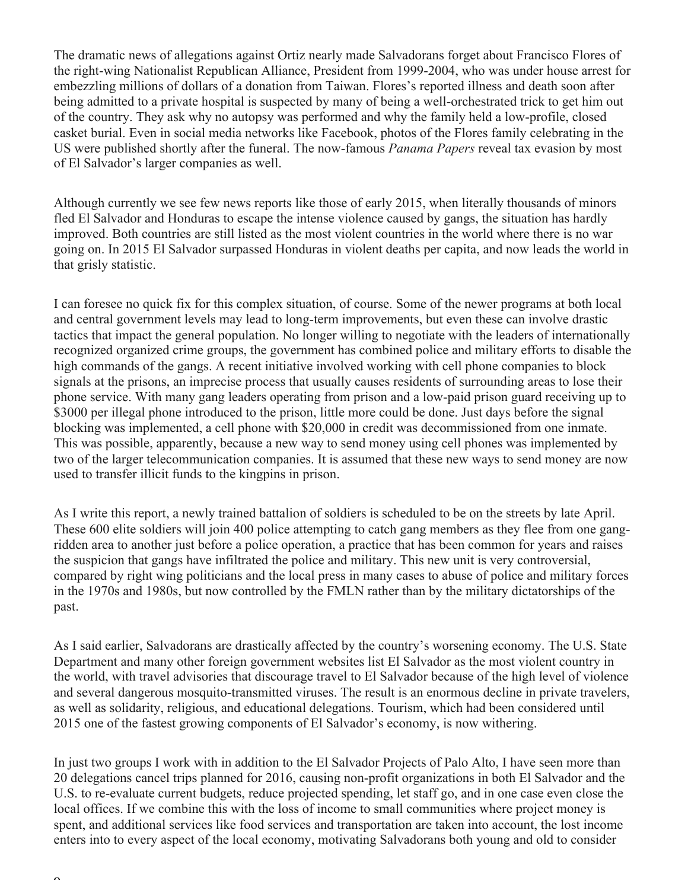The dramatic news of allegations against Ortiz nearly made Salvadorans forget about Francisco Flores of the right-wing Nationalist Republican Alliance, President from 1999-2004, who was under house arrest for embezzling millions of dollars of a donation from Taiwan. Flores's reported illness and death soon after being admitted to a private hospital is suspected by many of being a well-orchestrated trick to get him out of the country. They ask why no autopsy was performed and why the family held a low-profile, closed casket burial. Even in social media networks like Facebook, photos of the Flores family celebrating in the US were published shortly after the funeral. The now-famous *Panama Papers* reveal tax evasion by most of El Salvador's larger companies as well.

Although currently we see few news reports like those of early 2015, when literally thousands of minors fled El Salvador and Honduras to escape the intense violence caused by gangs, the situation has hardly improved. Both countries are still listed as the most violent countries in the world where there is no war going on. In 2015 El Salvador surpassed Honduras in violent deaths per capita, and now leads the world in that grisly statistic.

I can foresee no quick fix for this complex situation, of course. Some of the newer programs at both local and central government levels may lead to long-term improvements, but even these can involve drastic tactics that impact the general population. No longer willing to negotiate with the leaders of internationally recognized organized crime groups, the government has combined police and military efforts to disable the high commands of the gangs. A recent initiative involved working with cell phone companies to block signals at the prisons, an imprecise process that usually causes residents of surrounding areas to lose their phone service. With many gang leaders operating from prison and a low-paid prison guard receiving up to \$3000 per illegal phone introduced to the prison, little more could be done. Just days before the signal blocking was implemented, a cell phone with \$20,000 in credit was decommissioned from one inmate. This was possible, apparently, because a new way to send money using cell phones was implemented by two of the larger telecommunication companies. It is assumed that these new ways to send money are now used to transfer illicit funds to the kingpins in prison.

As I write this report, a newly trained battalion of soldiers is scheduled to be on the streets by late April. These 600 elite soldiers will join 400 police attempting to catch gang members as they flee from one gangridden area to another just before a police operation, a practice that has been common for years and raises the suspicion that gangs have infiltrated the police and military. This new unit is very controversial, compared by right wing politicians and the local press in many cases to abuse of police and military forces in the 1970s and 1980s, but now controlled by the FMLN rather than by the military dictatorships of the past.

As I said earlier, Salvadorans are drastically affected by the country's worsening economy. The U.S. State Department and many other foreign government websites list El Salvador as the most violent country in the world, with travel advisories that discourage travel to El Salvador because of the high level of violence and several dangerous mosquito-transmitted viruses. The result is an enormous decline in private travelers, as well as solidarity, religious, and educational delegations. Tourism, which had been considered until 2015 one of the fastest growing components of El Salvador's economy, is now withering.

In just two groups I work with in addition to the El Salvador Projects of Palo Alto, I have seen more than 20 delegations cancel trips planned for 2016, causing non-profit organizations in both El Salvador and the U.S. to re-evaluate current budgets, reduce projected spending, let staff go, and in one case even close the local offices. If we combine this with the loss of income to small communities where project money is spent, and additional services like food services and transportation are taken into account, the lost income enters into to every aspect of the local economy, motivating Salvadorans both young and old to consider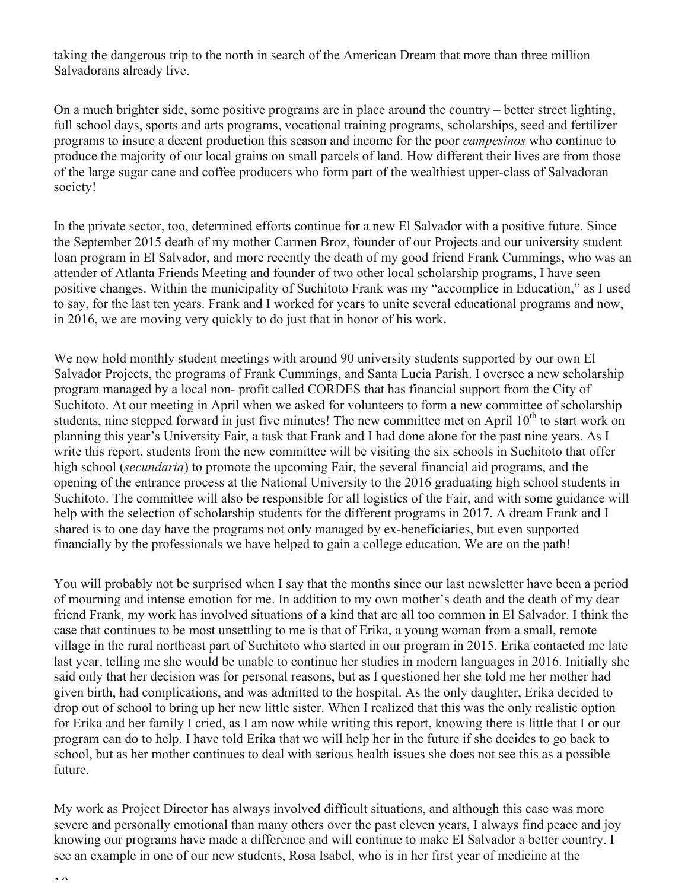taking the dangerous trip to the north in search of the American Dream that more than three million Salvadorans already live.

On a much brighter side, some positive programs are in place around the country – better street lighting, full school days, sports and arts programs, vocational training programs, scholarships, seed and fertilizer programs to insure a decent production this season and income for the poor *campesinos* who continue to produce the majority of our local grains on small parcels of land. How different their lives are from those of the large sugar cane and coffee producers who form part of the wealthiest upper-class of Salvadoran society!

In the private sector, too, determined efforts continue for a new El Salvador with a positive future. Since the September 2015 death of my mother Carmen Broz, founder of our Projects and our university student loan program in El Salvador, and more recently the death of my good friend Frank Cummings, who was an attender of Atlanta Friends Meeting and founder of two other local scholarship programs, I have seen positive changes. Within the municipality of Suchitoto Frank was my "accomplice in Education," as I used to say, for the last ten years. Frank and I worked for years to unite several educational programs and now, in 2016, we are moving very quickly to do just that in honor of his work**.**

We now hold monthly student meetings with around 90 university students supported by our own El Salvador Projects, the programs of Frank Cummings, and Santa Lucia Parish. I oversee a new scholarship program managed by a local non- profit called CORDES that has financial support from the City of Suchitoto. At our meeting in April when we asked for volunteers to form a new committee of scholarship students, nine stepped forward in just five minutes! The new committee met on April  $10<sup>th</sup>$  to start work on planning this year's University Fair, a task that Frank and I had done alone for the past nine years. As I write this report, students from the new committee will be visiting the six schools in Suchitoto that offer high school (*secundaria*) to promote the upcoming Fair, the several financial aid programs, and the opening of the entrance process at the National University to the 2016 graduating high school students in Suchitoto. The committee will also be responsible for all logistics of the Fair, and with some guidance will help with the selection of scholarship students for the different programs in 2017. A dream Frank and I shared is to one day have the programs not only managed by ex-beneficiaries, but even supported financially by the professionals we have helped to gain a college education. We are on the path!

You will probably not be surprised when I say that the months since our last newsletter have been a period of mourning and intense emotion for me. In addition to my own mother's death and the death of my dear friend Frank, my work has involved situations of a kind that are all too common in El Salvador. I think the case that continues to be most unsettling to me is that of Erika, a young woman from a small, remote village in the rural northeast part of Suchitoto who started in our program in 2015. Erika contacted me late last year, telling me she would be unable to continue her studies in modern languages in 2016. Initially she said only that her decision was for personal reasons, but as I questioned her she told me her mother had given birth, had complications, and was admitted to the hospital. As the only daughter, Erika decided to drop out of school to bring up her new little sister. When I realized that this was the only realistic option for Erika and her family I cried, as I am now while writing this report, knowing there is little that I or our program can do to help. I have told Erika that we will help her in the future if she decides to go back to school, but as her mother continues to deal with serious health issues she does not see this as a possible future.

My work as Project Director has always involved difficult situations, and although this case was more severe and personally emotional than many others over the past eleven years, I always find peace and joy knowing our programs have made a difference and will continue to make El Salvador a better country. I see an example in one of our new students, Rosa Isabel, who is in her first year of medicine at the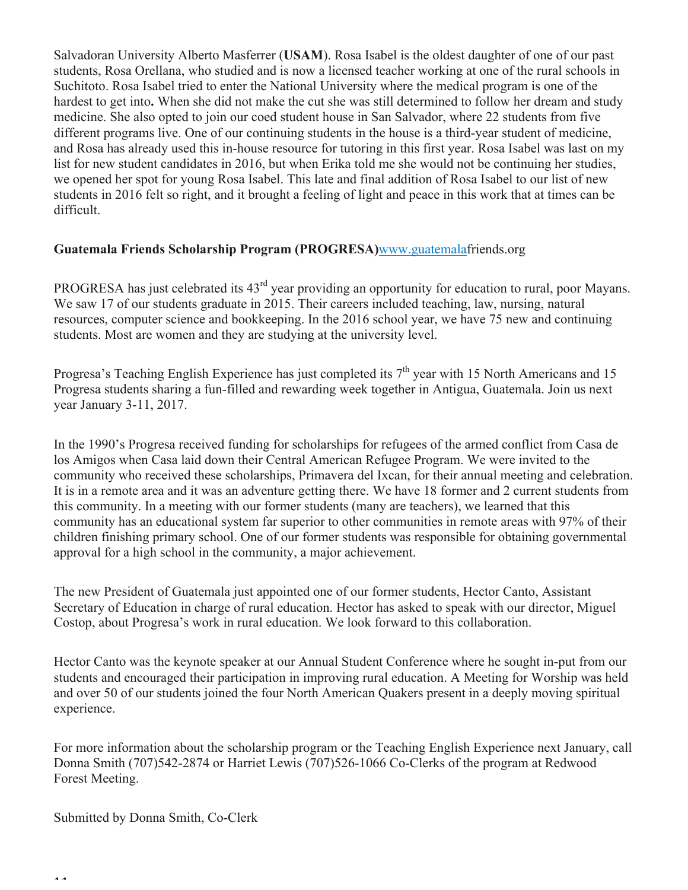Salvadoran University Alberto Masferrer (**USAM**). Rosa Isabel is the oldest daughter of one of our past students, Rosa Orellana, who studied and is now a licensed teacher working at one of the rural schools in Suchitoto. Rosa Isabel tried to enter the National University where the medical program is one of the hardest to get into**.** When she did not make the cut she was still determined to follow her dream and study medicine. She also opted to join our coed student house in San Salvador, where 22 students from five different programs live. One of our continuing students in the house is a third-year student of medicine, and Rosa has already used this in-house resource for tutoring in this first year. Rosa Isabel was last on my list for new student candidates in 2016, but when Erika told me she would not be continuing her studies, we opened her spot for young Rosa Isabel. This late and final addition of Rosa Isabel to our list of new students in 2016 felt so right, and it brought a feeling of light and peace in this work that at times can be difficult.

### **Guatemala Friends Scholarship Program (PROGRESA)**www.guatemalafriends.org

PROGRESA has just celebrated its 43<sup>rd</sup> year providing an opportunity for education to rural, poor Mayans. We saw 17 of our students graduate in 2015. Their careers included teaching, law, nursing, natural resources, computer science and bookkeeping. In the 2016 school year, we have 75 new and continuing students. Most are women and they are studying at the university level.

Progresa's Teaching English Experience has just completed its  $7<sup>th</sup>$  year with 15 North Americans and 15 Progresa students sharing a fun-filled and rewarding week together in Antigua, Guatemala. Join us next year January 3-11, 2017.

In the 1990's Progresa received funding for scholarships for refugees of the armed conflict from Casa de los Amigos when Casa laid down their Central American Refugee Program. We were invited to the community who received these scholarships, Primavera del Ixcan, for their annual meeting and celebration. It is in a remote area and it was an adventure getting there. We have 18 former and 2 current students from this community. In a meeting with our former students (many are teachers), we learned that this community has an educational system far superior to other communities in remote areas with 97% of their children finishing primary school. One of our former students was responsible for obtaining governmental approval for a high school in the community, a major achievement.

The new President of Guatemala just appointed one of our former students, Hector Canto, Assistant Secretary of Education in charge of rural education. Hector has asked to speak with our director, Miguel Costop, about Progresa's work in rural education. We look forward to this collaboration.

Hector Canto was the keynote speaker at our Annual Student Conference where he sought in-put from our students and encouraged their participation in improving rural education. A Meeting for Worship was held and over 50 of our students joined the four North American Quakers present in a deeply moving spiritual experience.

For more information about the scholarship program or the Teaching English Experience next January, call Donna Smith (707)542-2874 or Harriet Lewis (707)526-1066 Co-Clerks of the program at Redwood Forest Meeting.

Submitted by Donna Smith, Co-Clerk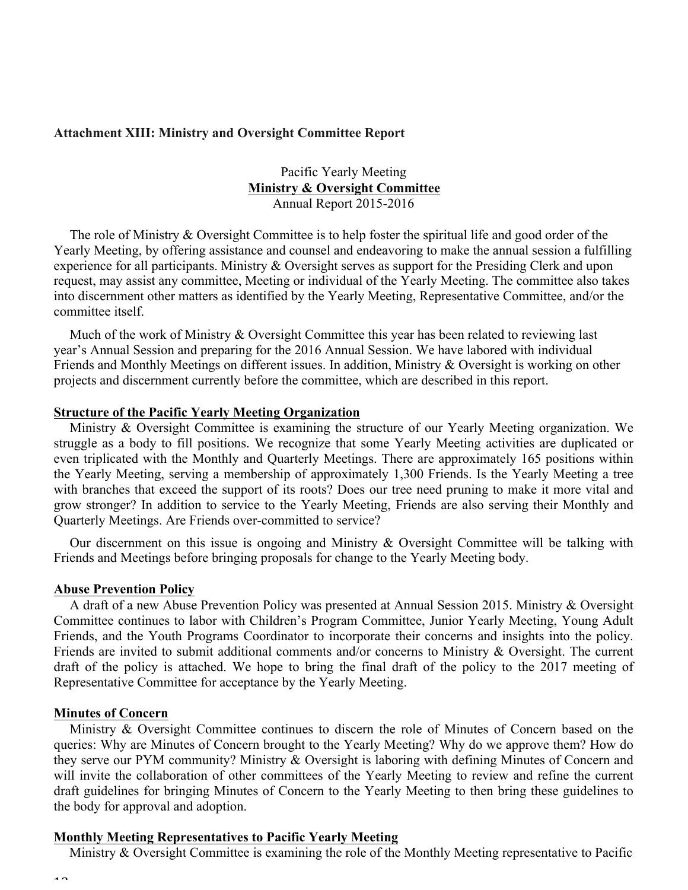#### **Attachment XIII: Ministry and Oversight Committee Report**

Pacific Yearly Meeting **Ministry & Oversight Committee** Annual Report 2015-2016

The role of Ministry & Oversight Committee is to help foster the spiritual life and good order of the Yearly Meeting, by offering assistance and counsel and endeavoring to make the annual session a fulfilling experience for all participants. Ministry & Oversight serves as support for the Presiding Clerk and upon request, may assist any committee, Meeting or individual of the Yearly Meeting. The committee also takes into discernment other matters as identified by the Yearly Meeting, Representative Committee, and/or the committee itself.

Much of the work of Ministry  $\&$  Oversight Committee this year has been related to reviewing last year's Annual Session and preparing for the 2016 Annual Session. We have labored with individual Friends and Monthly Meetings on different issues. In addition, Ministry & Oversight is working on other projects and discernment currently before the committee, which are described in this report.

#### **Structure of the Pacific Yearly Meeting Organization**

Ministry & Oversight Committee is examining the structure of our Yearly Meeting organization. We struggle as a body to fill positions. We recognize that some Yearly Meeting activities are duplicated or even triplicated with the Monthly and Quarterly Meetings. There are approximately 165 positions within the Yearly Meeting, serving a membership of approximately 1,300 Friends. Is the Yearly Meeting a tree with branches that exceed the support of its roots? Does our tree need pruning to make it more vital and grow stronger? In addition to service to the Yearly Meeting, Friends are also serving their Monthly and Quarterly Meetings. Are Friends over-committed to service?

Our discernment on this issue is ongoing and Ministry & Oversight Committee will be talking with Friends and Meetings before bringing proposals for change to the Yearly Meeting body.

#### **Abuse Prevention Policy**

A draft of a new Abuse Prevention Policy was presented at Annual Session 2015. Ministry & Oversight Committee continues to labor with Children's Program Committee, Junior Yearly Meeting, Young Adult Friends, and the Youth Programs Coordinator to incorporate their concerns and insights into the policy. Friends are invited to submit additional comments and/or concerns to Ministry & Oversight. The current draft of the policy is attached. We hope to bring the final draft of the policy to the 2017 meeting of Representative Committee for acceptance by the Yearly Meeting.

#### **Minutes of Concern**

Ministry & Oversight Committee continues to discern the role of Minutes of Concern based on the queries: Why are Minutes of Concern brought to the Yearly Meeting? Why do we approve them? How do they serve our PYM community? Ministry & Oversight is laboring with defining Minutes of Concern and will invite the collaboration of other committees of the Yearly Meeting to review and refine the current draft guidelines for bringing Minutes of Concern to the Yearly Meeting to then bring these guidelines to the body for approval and adoption.

#### **Monthly Meeting Representatives to Pacific Yearly Meeting**

Ministry & Oversight Committee is examining the role of the Monthly Meeting representative to Pacific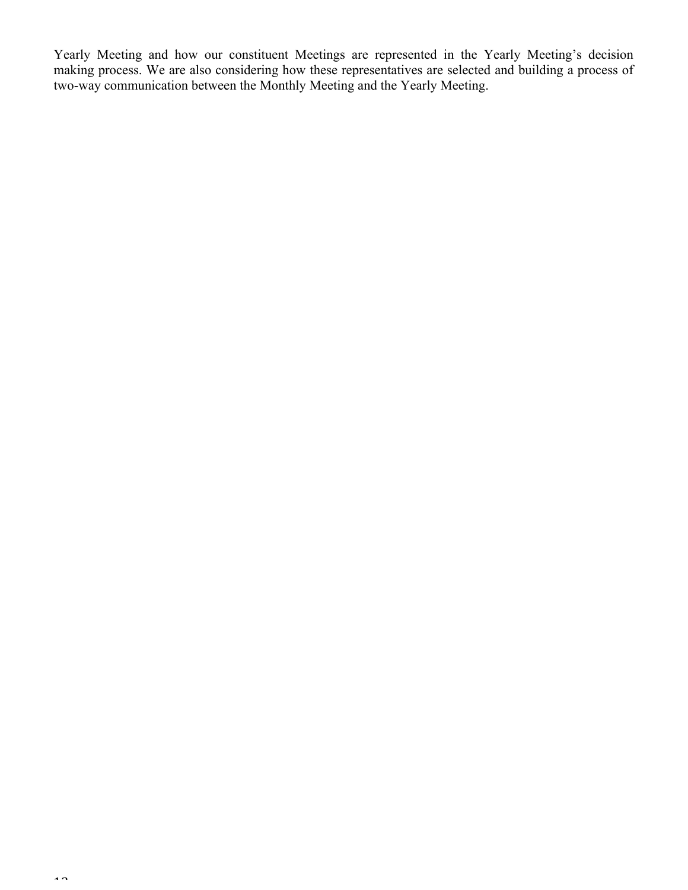Yearly Meeting and how our constituent Meetings are represented in the Yearly Meeting's decision making process. We are also considering how these representatives are selected and building a process of two-way communication between the Monthly Meeting and the Yearly Meeting.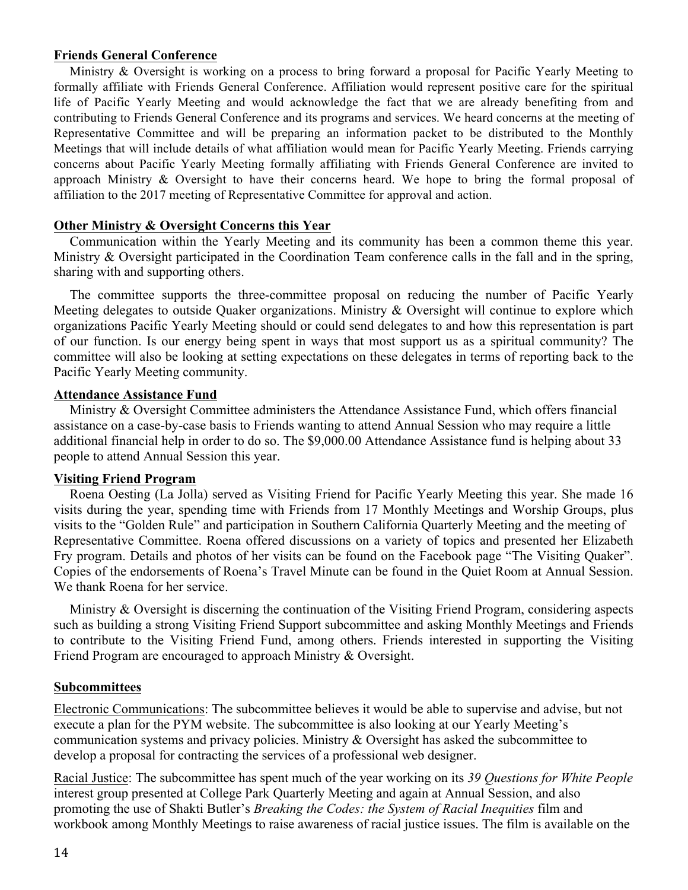## **Friends General Conference**

Ministry & Oversight is working on a process to bring forward a proposal for Pacific Yearly Meeting to formally affiliate with Friends General Conference. Affiliation would represent positive care for the spiritual life of Pacific Yearly Meeting and would acknowledge the fact that we are already benefiting from and contributing to Friends General Conference and its programs and services. We heard concerns at the meeting of Representative Committee and will be preparing an information packet to be distributed to the Monthly Meetings that will include details of what affiliation would mean for Pacific Yearly Meeting. Friends carrying concerns about Pacific Yearly Meeting formally affiliating with Friends General Conference are invited to approach Ministry & Oversight to have their concerns heard. We hope to bring the formal proposal of affiliation to the 2017 meeting of Representative Committee for approval and action.

### **Other Ministry & Oversight Concerns this Year**

Communication within the Yearly Meeting and its community has been a common theme this year. Ministry & Oversight participated in the Coordination Team conference calls in the fall and in the spring, sharing with and supporting others.

The committee supports the three-committee proposal on reducing the number of Pacific Yearly Meeting delegates to outside Quaker organizations. Ministry & Oversight will continue to explore which organizations Pacific Yearly Meeting should or could send delegates to and how this representation is part of our function. Is our energy being spent in ways that most support us as a spiritual community? The committee will also be looking at setting expectations on these delegates in terms of reporting back to the Pacific Yearly Meeting community.

#### **Attendance Assistance Fund**

Ministry & Oversight Committee administers the Attendance Assistance Fund, which offers financial assistance on a case-by-case basis to Friends wanting to attend Annual Session who may require a little additional financial help in order to do so. The \$9,000.00 Attendance Assistance fund is helping about 33 people to attend Annual Session this year.

### **Visiting Friend Program**

Roena Oesting (La Jolla) served as Visiting Friend for Pacific Yearly Meeting this year. She made 16 visits during the year, spending time with Friends from 17 Monthly Meetings and Worship Groups, plus visits to the "Golden Rule" and participation in Southern California Quarterly Meeting and the meeting of Representative Committee. Roena offered discussions on a variety of topics and presented her Elizabeth Fry program. Details and photos of her visits can be found on the Facebook page "The Visiting Quaker". Copies of the endorsements of Roena's Travel Minute can be found in the Quiet Room at Annual Session. We thank Roena for her service.

Ministry & Oversight is discerning the continuation of the Visiting Friend Program, considering aspects such as building a strong Visiting Friend Support subcommittee and asking Monthly Meetings and Friends to contribute to the Visiting Friend Fund, among others. Friends interested in supporting the Visiting Friend Program are encouraged to approach Ministry & Oversight.

#### **Subcommittees**

Electronic Communications: The subcommittee believes it would be able to supervise and advise, but not execute a plan for the PYM website. The subcommittee is also looking at our Yearly Meeting's communication systems and privacy policies. Ministry & Oversight has asked the subcommittee to develop a proposal for contracting the services of a professional web designer.

Racial Justice: The subcommittee has spent much of the year working on its *39 Questions for White People* interest group presented at College Park Quarterly Meeting and again at Annual Session, and also promoting the use of Shakti Butler's *Breaking the Codes: the System of Racial Inequities* film and workbook among Monthly Meetings to raise awareness of racial justice issues. The film is available on the